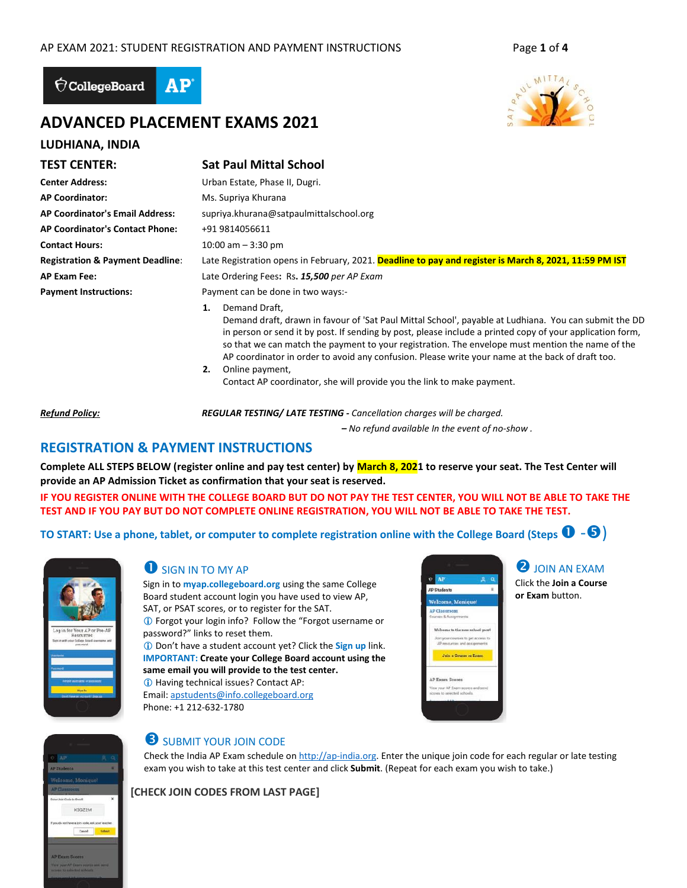

# **ADVANCED PLACEMENT EXAMS 2021**

### **LUDHIANA, INDIA**

# **TEST CENTER: Sat Paul Mittal School**

| <b>Center Address:</b>                      | Urban Estate, Phase II, Dugri.                                                                                                                                                                                                                                                                                                                |
|---------------------------------------------|-----------------------------------------------------------------------------------------------------------------------------------------------------------------------------------------------------------------------------------------------------------------------------------------------------------------------------------------------|
| <b>AP Coordinator:</b>                      | Ms. Supriya Khurana                                                                                                                                                                                                                                                                                                                           |
| <b>AP Coordinator's Email Address:</b>      | supriya.khurana@satpaulmittalschool.org                                                                                                                                                                                                                                                                                                       |
| AP Coordinator's Contact Phone:             | +91 9814056611                                                                                                                                                                                                                                                                                                                                |
| <b>Contact Hours:</b>                       | 10:00 am $-$ 3:30 pm                                                                                                                                                                                                                                                                                                                          |
| <b>Registration &amp; Payment Deadline:</b> | Late Registration opens in February, 2021. Deadline to pay and register is March 8, 2021, 11:59 PM IST                                                                                                                                                                                                                                        |
| <b>AP Exam Fee:</b>                         | Late Ordering Fees: Rs. 15,500 per AP Exam                                                                                                                                                                                                                                                                                                    |
| <b>Payment Instructions:</b>                | Payment can be done in two ways:-                                                                                                                                                                                                                                                                                                             |
|                                             | Demand Draft.<br>1.<br>Demand draft, drawn in favour of 'Sat Paul Mittal School', payable at Ludhiana. You can submit the DD<br>in person or send it by post. If sending by post, please include a printed copy of your application form,<br>so that we can match the payment to your registration. The envelope must mention the name of the |

AP coordinator in order to avoid any confusion. Please write your name at the back of draft too. **2.** Online payment,

Contact AP coordinator, she will provide you the link to make payment.

*Refund Policy: REGULAR TESTING/ LATE TESTING - Cancellation charges will be charged.* 

 *– No refund available In the event of no-show .*

# **REGISTRATION & PAYMENT INSTRUCTIONS**

**Complete ALL STEPS BELOW (register online and pay test center) by March 8, 2021 to reserve your seat. The Test Center will provide an AP Admission Ticket as confirmation that your seat is reserved.** 

**IF YOU REGISTER ONLINE WITH THE COLLEGE BOARD BUT DO NOT PAY THE TEST CENTER, YOU WILL NOT BE ABLE TO TAKE THE TEST AND IF YOU PAY BUT DO NOT COMPLETE ONLINE REGISTRATION, YOU WILL NOT BE ABLE TO TAKE THE TEST.**

**TO START: Use a phone, tablet, or computer to complete registration online with the College Board (Steps**  $\bullet$  **-** $\bullet$ **)** 



### SIGN IN TO MY AP

Sign in to **myap.collegeboard.org** using the same College Board student account login you have used to view AP, SAT, or PSAT scores, or to register for the SAT. Forgot your login info? Follow the "Forgot username or password?" links to reset them. Don't have a student account yet? Click the **Sign up** link.

**IMPORTANT: Create your College Board account using the same email you will provide to the test center.** Having technical issues? Contact AP: Email[: apstudents@info.collegeboard.org](mailto:apstudents@info.collegeboard.org)

Phone: +1 212-632-1780



**2** JOIN AN EXAM Click the **Join a Course or Exam** button.



# **SUBMIT YOUR JOIN CODE**

Check the India AP Exam schedule o[n http://ap-india.org.](http://ap-india.org/) Enter the unique join code for each regular or late testing exam you wish to take at this test center and click **Submit**. (Repeat for each exam you wish to take.)

**[CHECK JOIN CODES FROM LAST PAGE]**

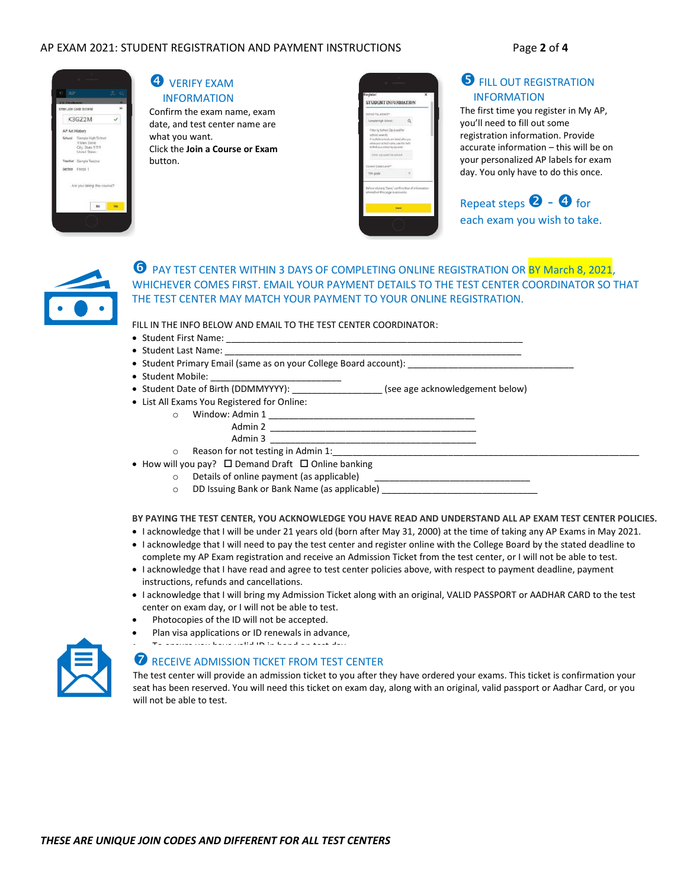#### AP EXAM 2021: STUDENT REGISTRATION AND PAYMENT INSTRUCTIONS Page **2** of **4**



### **4** VERIFY EXAM INFORMATION

Confirm the exam name, exam date, and test center name are what you want. Click the **Join a Course or Exam** button.

| School You Attend *<br>Sample High School                                                                                                                                                           |  |
|-----------------------------------------------------------------------------------------------------------------------------------------------------------------------------------------------------|--|
|                                                                                                                                                                                                     |  |
| Fiber by School Zip Emed for<br>school search?<br>If midtake schools are listed after you.<br>arter your school name, use the field<br>n) find rout settool by po-cede<br>Ether are code for school |  |
| Current Crade Level *                                                                                                                                                                               |  |
| 11th grade                                                                                                                                                                                          |  |

# **S** FILL OUT REGISTRATION INFORMATION

The first time you register in My AP, you'll need to fill out some registration information. Provide accurate information – this will be on your personalized AP labels for exam day. You only have to do this once.

Repeat steps  $\bullet$  -  $\bullet$  for each exam you wish to take.



### **O** PAY TEST CENTER WITHIN 3 DAYS OF COMPLETING ONLINE REGISTRATION OR BY March 8, 2021, WHICHEVER COMES FIRST. EMAIL YOUR PAYMENT DETAILS TO THE TEST CENTER COORDINATOR SO THAT THE TEST CENTER MAY MATCH YOUR PAYMENT TO YOUR ONLINE REGISTRATION.

FILL IN THE INFO BELOW AND EMAIL TO THE TEST CENTER COORDINATOR:

- Student First Name: \_\_
- Student Last Name: \_\_\_\_
- Student Primary Email (same as on your College Board account):
- Student Mobile:
- Student Date of Birth (DDMMYYYY): \_\_\_\_\_\_\_\_\_\_\_\_\_\_\_\_\_\_ (see age acknowledgement below)
- List All Exams You Registered for Online:
	- $\circ$  Window: Admin 1 Admin 2  $\frac{1}{\sqrt{1-\frac{1}{2}}\sqrt{1-\frac{1}{2}}\sqrt{1-\frac{1}{2}}\sqrt{1-\frac{1}{2}}$ 
		- Admin 3  $\overline{\phantom{a}}$
	- o Reason for not testing in Admin 1:
- How will you pay?  $\square$  Demand Draft  $\square$  Online banking
	- o Details of online payment (as applicable)
		- o DD Issuing Bank or Bank Name (as applicable)

**BY PAYING THE TEST CENTER, YOU ACKNOWLEDGE YOU HAVE READ AND UNDERSTAND ALL AP EXAM TEST CENTER POLICIES.**

- I acknowledge that I will be under 21 years old (born after May 31, 2000) at the time of taking any AP Exams in May 2021.
- I acknowledge that I will need to pay the test center and register online with the College Board by the stated deadline to complete my AP Exam registration and receive an Admission Ticket from the test center, or I will not be able to test.
- I acknowledge that I have read and agree to test center policies above, with respect to payment deadline, payment instructions, refunds and cancellations.
- I acknowledge that I will bring my Admission Ticket along with an original, VALID PASSPORT or AADHAR CARD to the test center on exam day, or I will not be able to test.
- Photocopies of the ID will not be accepted.
- Plan visa applications or ID renewals in advance,



# RECEIVE ADMISSION TICKET FROM TEST CENTER

The test center will provide an admission ticket to you after they have ordered your exams. This ticket is confirmation your seat has been reserved. You will need this ticket on exam day, along with an original, valid passport or Aadhar Card, or you will not be able to test.

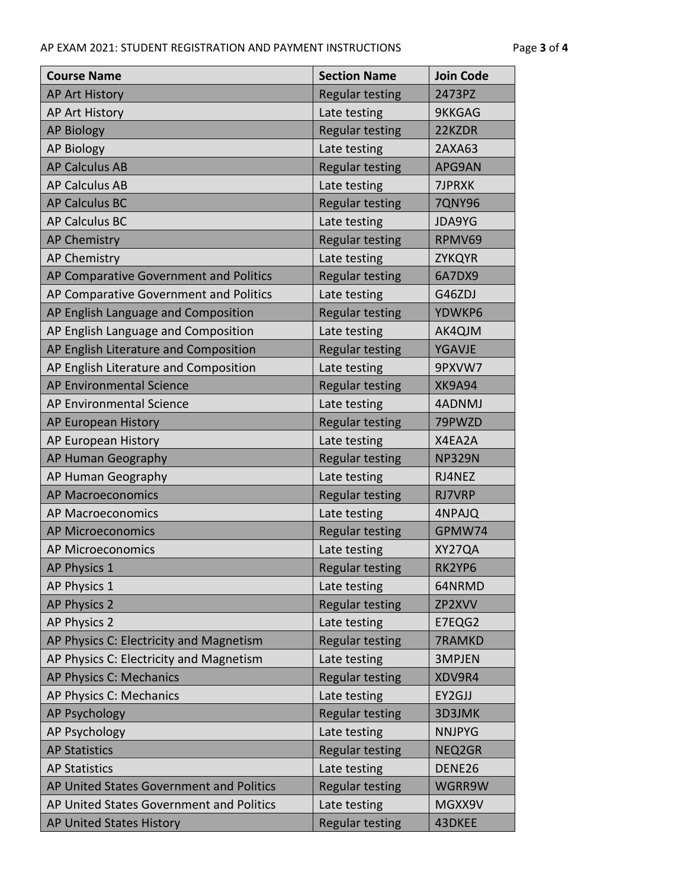| <b>Course Name</b>                       | <b>Section Name</b>    | <b>Join Code</b> |
|------------------------------------------|------------------------|------------------|
| <b>AP Art History</b>                    | <b>Regular testing</b> | 2473PZ           |
| AP Art History                           | Late testing           | 9KKGAG           |
| <b>AP Biology</b>                        | <b>Regular testing</b> | 22KZDR           |
| <b>AP Biology</b>                        | Late testing           | 2AXA63           |
| <b>AP Calculus AB</b>                    | <b>Regular testing</b> | APG9AN           |
| <b>AP Calculus AB</b>                    | Late testing           | 7JPRXK           |
| <b>AP Calculus BC</b>                    | <b>Regular testing</b> | <b>7QNY96</b>    |
| <b>AP Calculus BC</b>                    | Late testing           | <b>JDA9YG</b>    |
| <b>AP Chemistry</b>                      | <b>Regular testing</b> | RPMV69           |
| <b>AP Chemistry</b>                      | Late testing           | <b>ZYKQYR</b>    |
| AP Comparative Government and Politics   | <b>Regular testing</b> | 6A7DX9           |
| AP Comparative Government and Politics   | Late testing           | G46ZDJ           |
| AP English Language and Composition      | <b>Regular testing</b> | YDWKP6           |
| AP English Language and Composition      | Late testing           | AK4QJM           |
| AP English Literature and Composition    | <b>Regular testing</b> | <b>YGAVJE</b>    |
| AP English Literature and Composition    | Late testing           | 9PXVW7           |
| AP Environmental Science                 | <b>Regular testing</b> | <b>XK9A94</b>    |
| AP Environmental Science                 | Late testing           | 4ADNMJ           |
| AP European History                      | <b>Regular testing</b> | 79PWZD           |
| AP European History                      | Late testing           | X4EA2A           |
| AP Human Geography                       | <b>Regular testing</b> | <b>NP329N</b>    |
| AP Human Geography                       | Late testing           | RJ4NEZ           |
| <b>AP Macroeconomics</b>                 | <b>Regular testing</b> | <b>RJ7VRP</b>    |
| <b>AP Macroeconomics</b>                 | Late testing           | 4NPAJQ           |
| <b>AP Microeconomics</b>                 | <b>Regular testing</b> | GPMW74           |
| <b>AP Microeconomics</b>                 | Late testing           | XY27QA           |
| AP Physics 1                             | <b>Regular testing</b> | RK2YP6           |
| AP Physics 1                             | Late testing           | 64NRMD           |
| <b>AP Physics 2</b>                      | <b>Regular testing</b> | ZP2XVV           |
| AP Physics 2                             | Late testing           | E7EQG2           |
| AP Physics C: Electricity and Magnetism  | <b>Regular testing</b> | 7RAMKD           |
| AP Physics C: Electricity and Magnetism  | Late testing           | 3MPJEN           |
| AP Physics C: Mechanics                  | <b>Regular testing</b> | XDV9R4           |
| AP Physics C: Mechanics                  | Late testing           | EY2GJJ           |
| <b>AP Psychology</b>                     | <b>Regular testing</b> | 3D3JMK           |
| AP Psychology                            | Late testing           | <b>NNJPYG</b>    |
| <b>AP Statistics</b>                     | <b>Regular testing</b> | NEQ2GR           |
| <b>AP Statistics</b>                     | Late testing           | DENE26           |
| AP United States Government and Politics | <b>Regular testing</b> | WGRR9W           |
| AP United States Government and Politics | Late testing           | MGXX9V           |
| AP United States History                 | Regular testing        | 43DKEE           |